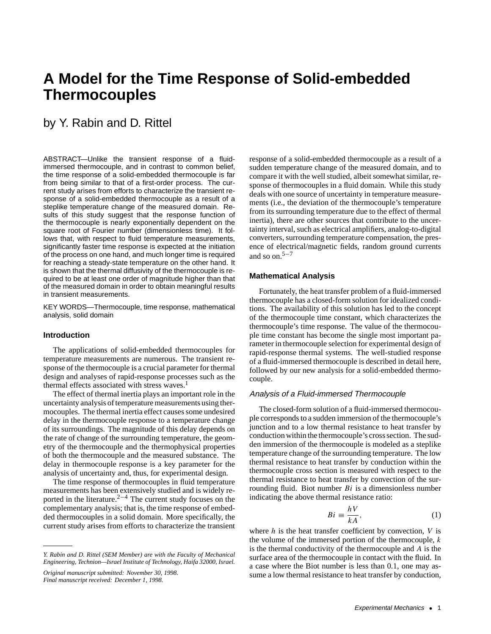# **A Model for the Time Response of Solid-embedded Thermocouples**

# by Y. Rabin and D. Rittel

ABSTRACT—Unlike the transient response of a fluidimmersed thermocouple, and in contrast to common belief, the time response of a solid-embedded thermocouple is far from being similar to that of a first-order process. The current study arises from efforts to characterize the transient response of a solid-embedded thermocouple as a result of a steplike temperature change of the measured domain. Results of this study suggest that the response function of the thermocouple is nearly exponentially dependent on the square root of Fourier number (dimensionless time). It follows that, with respect to fluid temperature measurements, significantly faster time response is expected at the initiation of the process on one hand, and much longer time is required for reaching a steady-state temperature on the other hand. It is shown that the thermal diffusivity of the thermocouple is required to be at least one order of magnitude higher than that of the measured domain in order to obtain meaningful results in transient measurements.

KEY WORDS—Thermocouple, time response, mathematical analysis, solid domain

# **Introduction**

The applications of solid-embedded thermocouples for temperature measurements are numerous. The transient response of the thermocouple is a crucial parameter for thermal design and analyses of rapid-response processes such as the thermal effects associated with stress waves.<sup>1</sup>

The effect of thermal inertia plays an important role in the uncertainty analysis of temperature measurements using thermocouples. The thermal inertia effect causes some undesired delay in the thermocouple response to a temperature change of its surroundings. The magnitude of this delay depends on the rate of change of the surrounding temperature, the geometry of the thermocouple and the thermophysical properties of both the thermocouple and the measured substance. The delay in thermocouple response is a key parameter for the analysis of uncertainty and, thus, for experimental design.

The time response of thermocouples in fluid temperature measurements has been extensively studied and is widely reported in the literature.<sup>2−4</sup> The current study focuses on the complementary analysis; that is, the time response of embedded thermocouples in a solid domain. More specifically, the current study arises from efforts to characterize the transient

*Original manuscript submitted: November 30, 1998. Final manuscript received: December 1, 1998.*

response of a solid-embedded thermocouple as a result of a sudden temperature change of the measured domain, and to compare it with the well studied, albeit somewhat similar, response of thermocouples in a fluid domain. While this study deals with one source of uncertainty in temperature measurements (i.e., the deviation of the thermocouple's temperature from its surrounding temperature due to the effect of thermal inertia), there are other sources that contribute to the uncertainty interval, such as electrical amplifiers, analog-to-digital converters, surrounding temperature compensation, the presence of electrical/magnetic fields, random ground currents and so on.5−<sup>7</sup>

# **Mathematical Analysis**

Fortunately, the heat transfer problem of a fluid-immersed thermocouple has a closed-form solution for idealized conditions. The availability of this solution has led to the concept of the thermocouple time constant, which characterizes the thermocouple's time response. The value of the thermocouple time constant has become the single most important parameter in thermocouple selection for experimental design of rapid-response thermal systems. The well-studied response of a fluid-immersed thermocouple is described in detail here, followed by our new analysis for a solid-embedded thermocouple.

# Analysis of <sup>a</sup> Fluid-immersed Thermocouple

The closed-form solution of a fluid-immersed thermocouple corresponds to a sudden immersion of the thermocouple's junction and to a low thermal resistance to heat transfer by conduction within the thermocouple's cross section. The sudden immersion of the thermocouple is modeled as a steplike temperature change of the surrounding temperature. The low thermal resistance to heat transfer by conduction within the thermocouple cross section is measured with respect to the thermal resistance to heat transfer by convection of the surrounding fluid. Biot number  $Bi$  is a dimensionless number indicating the above thermal resistance ratio:

$$
Bi \equiv \frac{hV}{kA},\tag{1}
$$

where  $h$  is the heat transfer coefficient by convection,  $V$  is the volume of the immersed portion of the thermocouple,  $k$ is the thermal conductivity of the thermocouple and  $A$  is the surface area of the thermocouple in contact with the fluid. In a case where the Biot number is less than 0.1, one may assume a low thermal resistance to heat transfer by conduction,

*Y. Rabin and D. Rittel (SEM Member) are with the Faculty of Mechanical Engineering, Technion—Israel Institute of Technology, Haifa 32000, Israel.*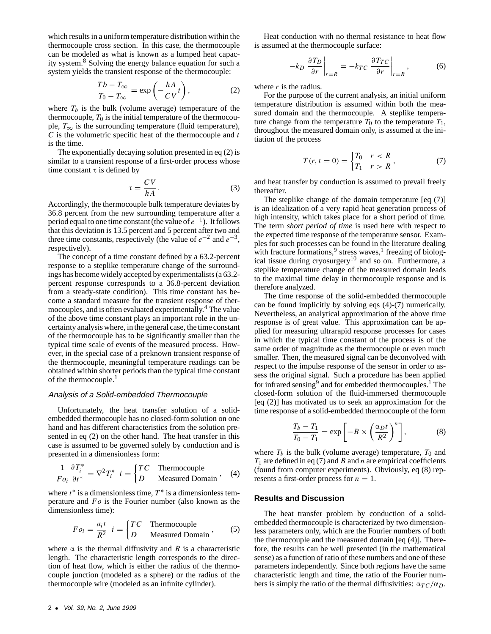which results in a uniform temperature distribution within the thermocouple cross section. In this case, the thermocouple can be modeled as what is known as a lumped heat capacity system.8 Solving the energy balance equation for such a system yields the transient response of the thermocouple:

$$
\frac{Tb - T_{\infty}}{T_0 - T_{\infty}} = \exp\left(-\frac{hA}{CV}t\right),\tag{2}
$$

where  $T_b$  is the bulk (volume average) temperature of the thermocouple,  $T_0$  is the initial temperature of the thermocouple,  $T_{\infty}$  is the surrounding temperature (fluid temperature),  $C$  is the volumetric specific heat of the thermocouple and  $t$ is the time.

The exponentially decaying solution presented in eq (2) is similar to a transient response of a first-order process whose time constant  $\tau$  is defined by

$$
\tau = \frac{CV}{hA}.\tag{3}
$$

Accordingly, the thermocouple bulk temperature deviates by 36.8 percent from the new surrounding temperature after a period equal to one time constant (the value of  $e^{-1}$ ). It follows that this deviation is 13.5 percent and 5 percent after two and three time constants, respectively (the value of  $e^{-2}$  and  $e^{-3}$ , respectively).

The concept of a time constant defined by a 63.2-percent response to a steplike temperature change of the surroundings has become widely accepted by experimentalists (a 63.2 percent response corresponds to a 36.8-percent deviation from a steady-state condition). This time constant has become a standard measure for the transient response of thermocouples, and is often evaluated experimentally.<sup>4</sup> The value of the above time constant plays an important role in the uncertainty analysis where, in the general case, the time constant of the thermocouple has to be significantly smaller than the typical time scale of events of the measured process. However, in the special case of a preknown transient response of the thermocouple, meaningful temperature readings can be obtained within shorter periods than the typical time constant of the thermocouple.<sup>1</sup>

### Analysis of <sup>a</sup> Solid-embedded Thermocouple

Unfortunately, the heat transfer solution of a solidembedded thermocouple has no closed-form solution on one hand and has different characteristics from the solution presented in eq (2) on the other hand. The heat transfer in this case is assumed to be governed solely by conduction and is presented in a dimensionless form:

$$
\frac{1}{F o_i} \frac{\partial T_i^*}{\partial t^*} = \nabla^2 T_i^* \quad i = \begin{cases} TC & \text{Thermocouple} \\ D & \text{Measured Domain} \end{cases}, \quad (4)
$$

where  $t^*$  is a dimensionless time,  $T^*$  is a dimensionless temperature and  $Fo$  is the Fourier number (also known as the dimensionless time):

$$
Fo_i = \frac{a_i t}{R^2} i = \begin{cases} TC & \text{Thermocouple} \\ D & \text{Measured Domain} \end{cases}
$$
, (5)

where  $\alpha$  is the thermal diffusivity and R is a characteristic length. The characteristic length corresponds to the direction of heat flow, which is either the radius of the thermocouple junction (modeled as a sphere) or the radius of the thermocouple wire (modeled as an infinite cylinder).

Heat conduction with no thermal resistance to heat flow is assumed at the thermocouple surface:

$$
-k_D \left. \frac{\partial T_D}{\partial r} \right|_{r=R} = -k_{TC} \left. \frac{\partial T_{TC}}{\partial r} \right|_{r=R}, \tag{6}
$$

where  $r$  is the radius.

For the purpose of the current analysis, an initial uniform temperature distribution is assumed within both the measured domain and the thermocouple. A steplike temperature change from the temperature  $T_0$  to the temperature  $T_1$ , throughout the measured domain only, is assumed at the initiation of the process

$$
T(r, t = 0) = \begin{cases} T_0 & r < R \\ T_1 & r > R \end{cases}
$$
 (7)

and heat transfer by conduction is assumed to prevail freely thereafter.

The steplike change of the domain temperature [eq (7)] is an idealization of a very rapid heat generation process of high intensity, which takes place for a short period of time. The term *short period of time* is used here with respect to the expected time response of the temperature sensor. Examples for such processes can be found in the literature dealing with fracture formations,  $9$  stress waves,  $1$  freezing of biological tissue during cryosurgery<sup>10</sup> and so on. Furthermore, a steplike temperature change of the measured domain leads to the maximal time delay in thermocouple response and is therefore analyzed.

The time response of the solid-embedded thermocouple can be found implicitly by solving eqs (4)-(7) numerically. Nevertheless, an analytical approximation of the above time response is of great value. This approximation can be applied for measuring ultrarapid response processes for cases in which the typical time constant of the process is of the same order of magnitude as the thermocouple or even much smaller. Then, the measured signal can be deconvolved with respect to the impulse response of the sensor in order to assess the original signal. Such a procedure has been applied for infrared sensing<sup>9</sup> and for embedded thermocouples.<sup>1</sup> The closed-form solution of the fluid-immersed thermocouple [eq (2)] has motivated us to seek an approximation for the time response of a solid-embedded thermocouple of the form

$$
\frac{T_b - T_1}{T_0 - T_1} = \exp\left[-B \times \left(\frac{\alpha_D t}{R^2}\right)^n\right],\tag{8}
$$

where  $T_b$  is the bulk (volume average) temperature,  $T_0$  and  $T_1$  are defined in eq (7) and B and n are empirical coefficients (found from computer experiments). Obviously, eq (8) represents a first-order process for  $n = 1$ .

#### **Results and Discussion**

The heat transfer problem by conduction of a solidembedded thermocouple is characterized by two dimensionless parameters only, which are the Fourier numbers of both the thermocouple and the measured domain [eq (4)]. Therefore, the results can be well presented (in the mathematical sense) as a function of ratio of these numbers and one of these parameters independently. Since both regions have the same characteristic length and time, the ratio of the Fourier numbers is simply the ratio of the thermal diffusivities:  $\alpha_{TC}/\alpha_D$ .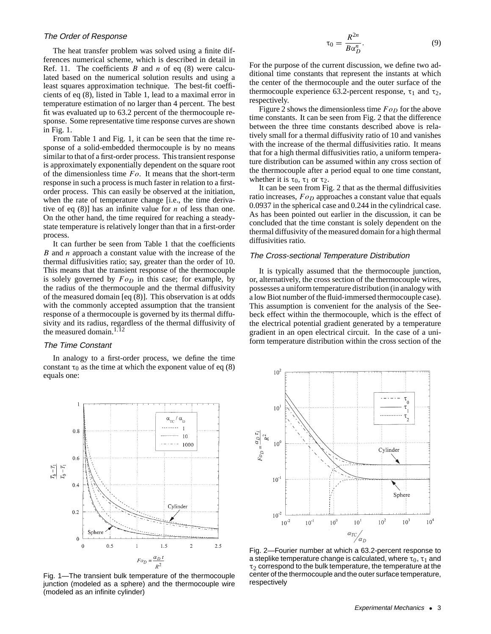#### The Order of Response

The heat transfer problem was solved using a finite differences numerical scheme, which is described in detail in Ref. 11. The coefficients  $B$  and  $n$  of eq (8) were calculated based on the numerical solution results and using a least squares approximation technique. The best-fit coefficients of eq (8), listed in Table 1, lead to a maximal error in temperature estimation of no larger than 4 percent. The best fit was evaluated up to 63.2 percent of the thermocouple response. Some representative time response curves are shown in Fig. 1.

From Table 1 and Fig. 1, it can be seen that the time response of a solid-embedded thermocouple is by no means similar to that of a first-order process. This transient response is approximately exponentially dependent on the square root of the dimensionless time  $Fo$ . It means that the short-term response in such a process is much faster in relation to a firstorder process. This can easily be observed at the initiation, when the rate of temperature change [i.e., the time derivative of eq  $(8)$ ] has an infinite value for *n* of less than one. On the other hand, the time required for reaching a steadystate temperature is relatively longer than that in a first-order process.

It can further be seen from Table 1 that the coefficients B and  $n$  approach a constant value with the increase of the thermal diffusivities ratio; say, greater than the order of 10. This means that the transient response of the thermocouple is solely governed by  $Fo<sub>D</sub>$  in this case; for example, by the radius of the thermocouple and the thermal diffusivity of the measured domain [eq (8)]. This observation is at odds with the commonly accepted assumption that the transient response of a thermocouple is governed by its thermal diffusivity and its radius, regardless of the thermal diffusivity of the measured domain.<sup>1,12</sup>

### The Time Constant

In analogy to a first-order process, we define the time constant  $\tau_0$  as the time at which the exponent value of eq (8) equals one:



Fig. 1—The transient bulk temperature of the thermocouple junction (modeled as a sphere) and the thermocouple wire (modeled as an infinite cylinder)

$$
\tau_0 = \frac{R^{2n}}{B\alpha_D^n}.\tag{9}
$$

For the purpose of the current discussion, we define two additional time constants that represent the instants at which the center of the thermocouple and the outer surface of the thermocouple experience 63.2-percent response,  $\tau_1$  and  $\tau_2$ , respectively.

Figure 2 shows the dimensionless time  $F o_D$  for the above time constants. It can be seen from Fig. 2 that the difference between the three time constants described above is relatively small for a thermal diffusivity ratio of 10 and vanishes with the increase of the thermal diffusivities ratio. It means that for a high thermal diffusivities ratio, a uniform temperature distribution can be assumed within any cross section of the thermocouple after a period equal to one time constant, whether it is  $\tau_0$ ,  $\tau_1$  or  $\tau_2$ .

It can be seen from Fig. 2 that as the thermal diffusivities ratio increases,  $Fo<sub>D</sub>$  approaches a constant value that equals 0.0937 in the spherical case and 0.244 in the cylindrical case. As has been pointed out earlier in the discussion, it can be concluded that the time constant is solely dependent on the thermal diffusivity of the measured domain for a high thermal diffusivities ratio.

# The Cross-sectional Temperature Distribution

It is typically assumed that the thermocouple junction, or, alternatively, the cross section of the thermocouple wires, possesses a uniform temperature distribution (in analogy with a low Biot number of the fluid-immersed thermocouple case). This assumption is convenient for the analysis of the Seebeck effect within the thermocouple, which is the effect of the electrical potential gradient generated by a temperature gradient in an open electrical circuit. In the case of a uniform temperature distribution within the cross section of the



Fig. 2—Fourier number at which a 63.2-percent response to a steplike temperature change is calculated, where  $\tau_0$ ,  $\tau_1$  and  $\tau_2$  correspond to the bulk temperature, the temperature at the center of the thermocouple and the outer surface temperature, respectively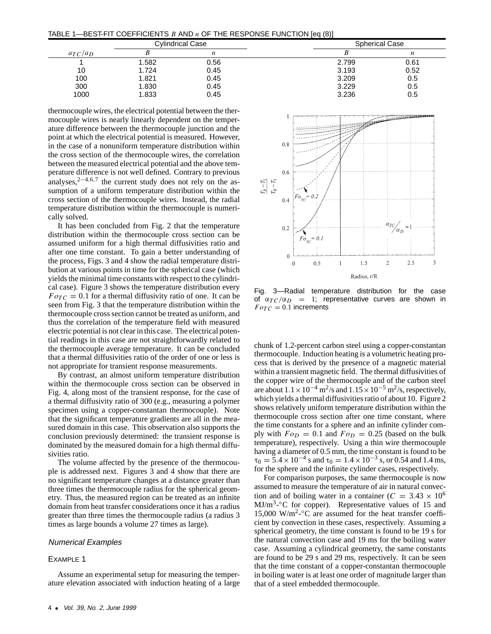TABLE 1—BEST-FIT COEFFICIENTS B AND  $n$  OF THE RESPONSE FUNCTION [eq (8)]

|              | <b>Cylindrical Case</b> |      |       | <b>Spherical Case</b> |  |
|--------------|-------------------------|------|-------|-----------------------|--|
| $a_{TC}/a_D$ |                         | n    |       | n                     |  |
|              | 1.582                   | 0.56 | 2.799 | 0.61                  |  |
| 10           | 1.724                   | 0.45 | 3.193 | 0.52                  |  |
| 100          | 1.821                   | 0.45 | 3.209 | 0.5                   |  |
| 300          | 1.830                   | 0.45 | 3.229 | 0.5                   |  |
| 1000         | 1.833                   | 0.45 | 3.236 | 0.5                   |  |

thermocouple wires, the electrical potential between the thermocouple wires is nearly linearly dependent on the temperature difference between the thermocouple junction and the point at which the electrical potential is measured. However, in the case of a nonuniform temperature distribution within the cross section of the thermocouple wires, the correlation between the measured electrical potential and the above temperature difference is not well defined. Contrary to previous analyses,<sup>2-4,6,7</sup> the current study does not rely on the assumption of a uniform temperature distribution within the cross section of the thermocouple wires. Instead, the radial temperature distribution within the thermocouple is numerically solved.

It has been concluded from Fig. 2 that the temperature distribution within the thermocouple cross section can be assumed uniform for a high thermal diffusivities ratio and after one time constant. To gain a better understanding of the process, Figs. 3 and 4 show the radial temperature distribution at various points in time for the spherical case (which yields the minimal time constants with respect to the cylindrical case). Figure 3 shows the temperature distribution every  $F \circ T C = 0.1$  for a thermal diffusivity ratio of one. It can be seen from Fig. 3 that the temperature distribution within the thermocouple cross section cannot be treated as uniform, and thus the correlation of the temperature field with measured electric potential is not clear in this case. The electrical potential readings in this case are not straightforwardly related to the thermocouple average temperature. It can be concluded that a thermal diffusivities ratio of the order of one or less is not appropriate for transient response measurements.

By contrast, an almost uniform temperature distribution within the thermocouple cross section can be observed in Fig. 4, along most of the transient response, for the case of a thermal diffusivity ratio of 300 (e.g., measuring a polymer specimen using a copper-constantan thermocouple). Note that the significant temperature gradients are all in the measured domain in this case. This observation also supports the conclusion previously determined: the transient response is dominated by the measured domain for a high thermal diffusivities ratio.

The volume affected by the presence of the thermocouple is addressed next. Figures 3 and 4 show that there are no significant temperature changes at a distance greater than three times the thermocouple radius for the spherical geometry. Thus, the measured region can be treated as an infinite domain from heat transfer considerations once it has a radius greater than three times the thermocouple radius (a radius 3 times as large bounds a volume 27 times as large).

# Numerical Examples

#### EXAMPLE 1

Assume an experimental setup for measuring the temperature elevation associated with induction heating of a large



Fig. 3—Radial temperature distribution for the case of  $\alpha_{TC}/\alpha_D$  = 1; representative curves are shown in  $Fo_{TC} = 0.1$  increments

chunk of 1.2-percent carbon steel using a copper-constantan thermocouple. Induction heating is a volumetric heating process that is derived by the presence of a magnetic material within a transient magnetic field. The thermal diffusivities of the copper wire of the thermocouple and of the carbon steel are about  $1.1 \times 10^{-4}$  m<sup>2</sup>/s and  $1.15 \times 10^{-5}$  m<sup>2</sup>/s, respectively, which yields a thermal diffusivities ratio of about 10. Figure 2 shows relatively uniform temperature distribution within the thermocouple cross section after one time constant, where the time constants for a sphere and an infinite cylinder comply with  $Fo_D = 0.1$  and  $Fo_D = 0.25$  (based on the bulk temperature), respectively. Using a thin wire thermocouple having a diameter of 0.5 mm, the time constant is found to be  $\tau_0 = 5.4 \times 10^{-4}$  s and  $\tau_0 = 1.4 \times 10^{-3}$  s, or 0.54 and 1.4 ms, for the sphere and the infinite cylinder cases, respectively.

For comparison purposes, the same thermocouple is now assumed to measure the temperature of air in natural convection and of boiling water in a container ( $C = 3.43 \times 10^6$ ) MJ/m<sup>3</sup>-°C for copper). Representative values of 15 and 15,000 W/m<sup>2</sup>- $\degree$ C are assumed for the heat transfer coefficient by convection in these cases, respectively. Assuming a spherical geometry, the time constant is found to be 19 s for the natural convection case and 19 ms for the boiling water case. Assuming a cylindrical geometry, the same constants are found to be 29 s and 29 ms, respectively. It can be seen that the time constant of a copper-constantan thermocouple in boiling water is at least one order of magnitude larger than that of a steel embedded thermocouple.